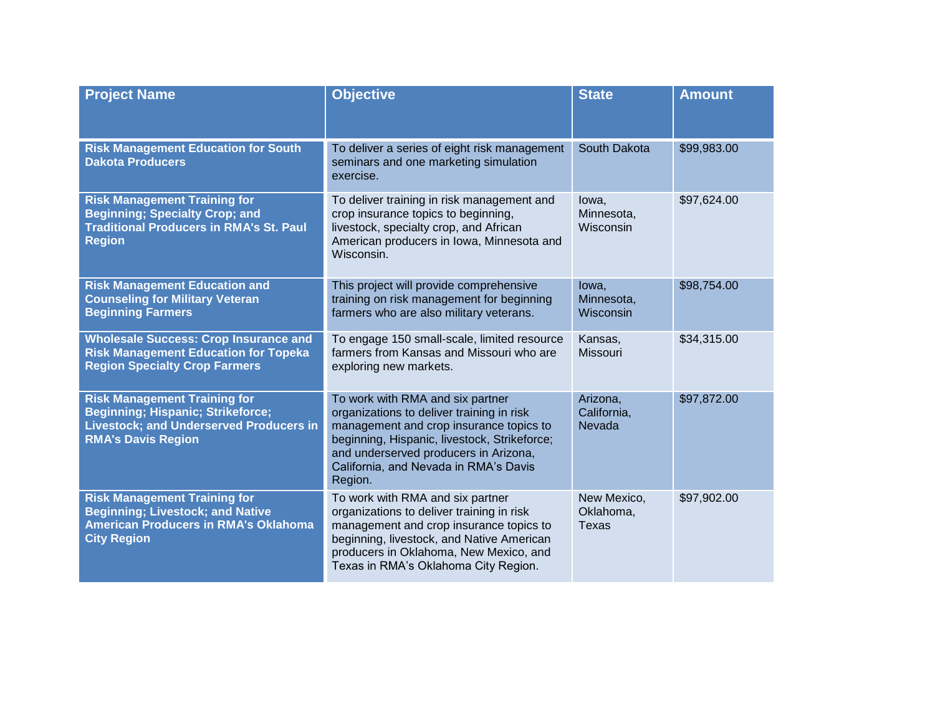| <b>Project Name</b>                                                                                                                                            | <b>Objective</b>                                                                                                                                                                                                                                                      | <b>State</b>                             | <b>Amount</b> |
|----------------------------------------------------------------------------------------------------------------------------------------------------------------|-----------------------------------------------------------------------------------------------------------------------------------------------------------------------------------------------------------------------------------------------------------------------|------------------------------------------|---------------|
| <b>Risk Management Education for South</b><br><b>Dakota Producers</b>                                                                                          | To deliver a series of eight risk management<br>seminars and one marketing simulation<br>exercise.                                                                                                                                                                    | South Dakota                             | \$99,983.00   |
| <b>Risk Management Training for</b><br><b>Beginning; Specialty Crop; and</b><br><b>Traditional Producers in RMA's St. Paul</b><br><b>Region</b>                | To deliver training in risk management and<br>crop insurance topics to beginning,<br>livestock, specialty crop, and African<br>American producers in Iowa, Minnesota and<br>Wisconsin.                                                                                | lowa,<br>Minnesota,<br>Wisconsin         | \$97,624.00   |
| <b>Risk Management Education and</b><br><b>Counseling for Military Veteran</b><br><b>Beginning Farmers</b>                                                     | This project will provide comprehensive<br>training on risk management for beginning<br>farmers who are also military veterans.                                                                                                                                       | lowa,<br>Minnesota,<br>Wisconsin         | \$98,754.00   |
| <b>Wholesale Success: Crop Insurance and</b><br><b>Risk Management Education for Topeka</b><br><b>Region Specialty Crop Farmers</b>                            | To engage 150 small-scale, limited resource<br>farmers from Kansas and Missouri who are<br>exploring new markets.                                                                                                                                                     | Kansas,<br><b>Missouri</b>               | \$34,315.00   |
| <b>Risk Management Training for</b><br><b>Beginning; Hispanic; Strikeforce;</b><br><b>Livestock; and Underserved Producers in</b><br><b>RMA's Davis Region</b> | To work with RMA and six partner<br>organizations to deliver training in risk<br>management and crop insurance topics to<br>beginning, Hispanic, livestock, Strikeforce;<br>and underserved producers in Arizona,<br>California, and Nevada in RMA's Davis<br>Region. | Arizona,<br>California,<br>Nevada        | \$97,872.00   |
| <b>Risk Management Training for</b><br><b>Beginning; Livestock; and Native</b><br><b>American Producers in RMA's Oklahoma</b><br><b>City Region</b>            | To work with RMA and six partner<br>organizations to deliver training in risk<br>management and crop insurance topics to<br>beginning, livestock, and Native American<br>producers in Oklahoma, New Mexico, and<br>Texas in RMA's Oklahoma City Region.               | New Mexico,<br>Oklahoma,<br><b>Texas</b> | \$97,902.00   |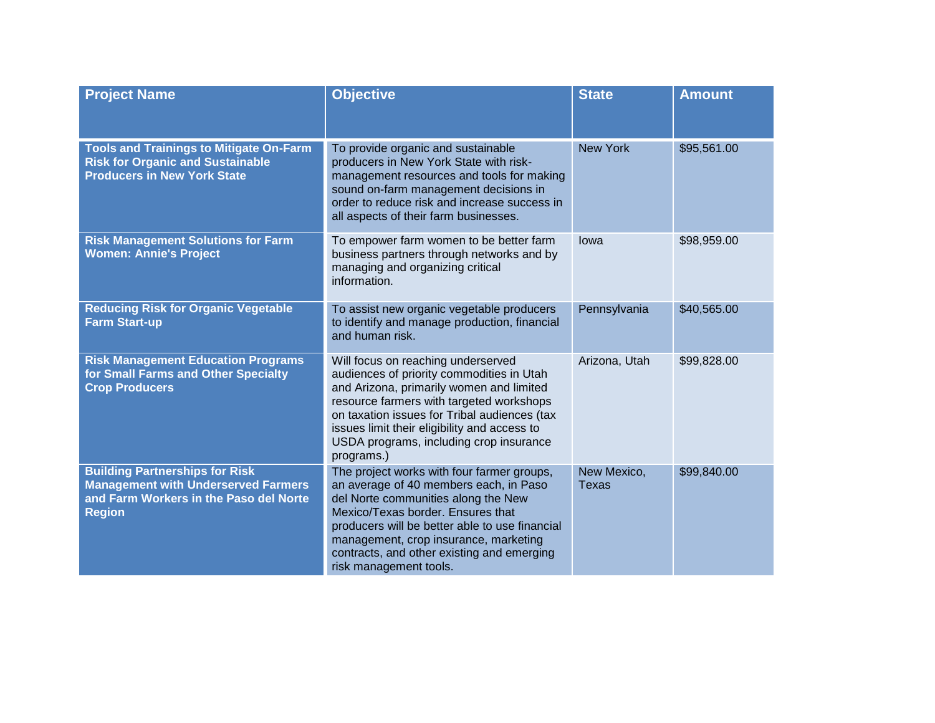| <b>Project Name</b>                                                                                                                            | <b>Objective</b>                                                                                                                                                                                                                                                                                                                    | <b>State</b>                | <b>Amount</b> |
|------------------------------------------------------------------------------------------------------------------------------------------------|-------------------------------------------------------------------------------------------------------------------------------------------------------------------------------------------------------------------------------------------------------------------------------------------------------------------------------------|-----------------------------|---------------|
| <b>Tools and Trainings to Mitigate On-Farm</b><br><b>Risk for Organic and Sustainable</b><br><b>Producers in New York State</b>                | To provide organic and sustainable<br>producers in New York State with risk-<br>management resources and tools for making<br>sound on-farm management decisions in<br>order to reduce risk and increase success in<br>all aspects of their farm businesses.                                                                         | <b>New York</b>             | \$95,561.00   |
| <b>Risk Management Solutions for Farm</b><br><b>Women: Annie's Project</b>                                                                     | To empower farm women to be better farm<br>business partners through networks and by<br>managing and organizing critical<br>information.                                                                                                                                                                                            | lowa                        | \$98,959.00   |
| <b>Reducing Risk for Organic Vegetable</b><br><b>Farm Start-up</b>                                                                             | To assist new organic vegetable producers<br>to identify and manage production, financial<br>and human risk.                                                                                                                                                                                                                        | Pennsylvania                | \$40,565.00   |
| <b>Risk Management Education Programs</b><br>for Small Farms and Other Specialty<br><b>Crop Producers</b>                                      | Will focus on reaching underserved<br>audiences of priority commodities in Utah<br>and Arizona, primarily women and limited<br>resource farmers with targeted workshops<br>on taxation issues for Tribal audiences (tax<br>issues limit their eligibility and access to<br>USDA programs, including crop insurance<br>programs.)    | Arizona, Utah               | \$99,828.00   |
| <b>Building Partnerships for Risk</b><br><b>Management with Underserved Farmers</b><br>and Farm Workers in the Paso del Norte<br><b>Region</b> | The project works with four farmer groups,<br>an average of 40 members each, in Paso<br>del Norte communities along the New<br>Mexico/Texas border. Ensures that<br>producers will be better able to use financial<br>management, crop insurance, marketing<br>contracts, and other existing and emerging<br>risk management tools. | New Mexico,<br><b>Texas</b> | \$99,840.00   |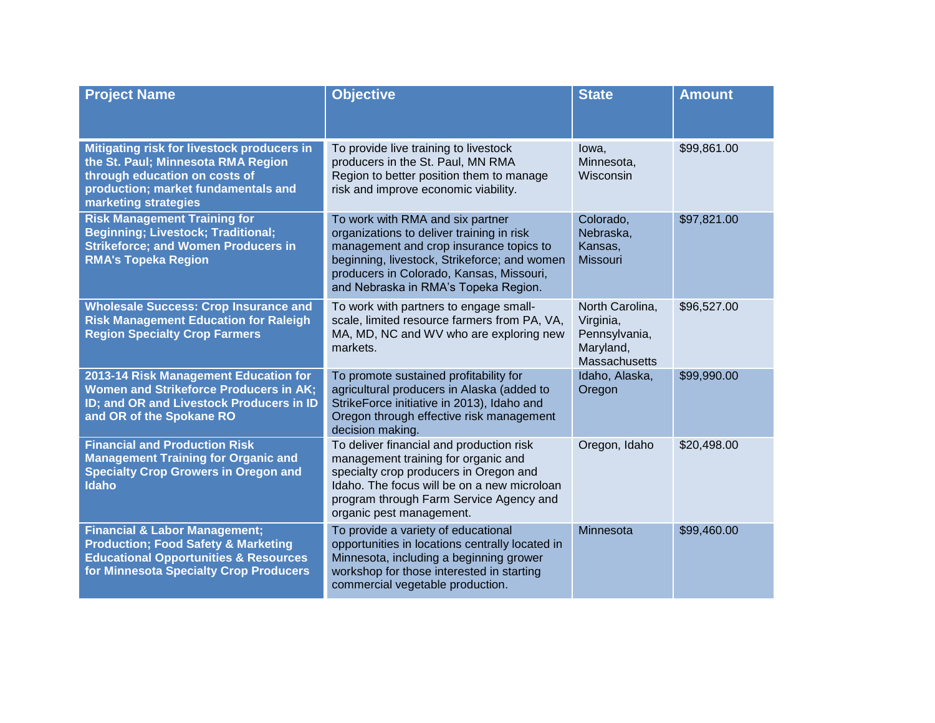| <b>Project Name</b>                                                                                                                                                                      | <b>Objective</b>                                                                                                                                                                                                                                             | <b>State</b>                                                                | <b>Amount</b> |
|------------------------------------------------------------------------------------------------------------------------------------------------------------------------------------------|--------------------------------------------------------------------------------------------------------------------------------------------------------------------------------------------------------------------------------------------------------------|-----------------------------------------------------------------------------|---------------|
| Mitigating risk for livestock producers in<br>the St. Paul; Minnesota RMA Region<br>through education on costs of<br>production; market fundamentals and<br>marketing strategies         | To provide live training to livestock<br>producers in the St. Paul, MN RMA<br>Region to better position them to manage<br>risk and improve economic viability.                                                                                               | lowa,<br>Minnesota,<br>Wisconsin                                            | \$99,861.00   |
| <b>Risk Management Training for</b><br><b>Beginning; Livestock; Traditional;</b><br><b>Strikeforce; and Women Producers in</b><br><b>RMA's Topeka Region</b>                             | To work with RMA and six partner<br>organizations to deliver training in risk<br>management and crop insurance topics to<br>beginning, livestock, Strikeforce; and women<br>producers in Colorado, Kansas, Missouri,<br>and Nebraska in RMA's Topeka Region. | Colorado,<br>Nebraska,<br>Kansas,<br><b>Missouri</b>                        | \$97,821.00   |
| <b>Wholesale Success: Crop Insurance and</b><br><b>Risk Management Education for Raleigh</b><br><b>Region Specialty Crop Farmers</b>                                                     | To work with partners to engage small-<br>scale, limited resource farmers from PA, VA,<br>MA, MD, NC and WV who are exploring new<br>markets.                                                                                                                | North Carolina,<br>Virginia,<br>Pennsylvania,<br>Maryland,<br>Massachusetts | \$96,527.00   |
| 2013-14 Risk Management Education for<br><b>Women and Strikeforce Producers in AK;</b><br>ID; and OR and Livestock Producers in ID<br>and OR of the Spokane RO                           | To promote sustained profitability for<br>agricultural producers in Alaska (added to<br>StrikeForce initiative in 2013), Idaho and<br>Oregon through effective risk management<br>decision making.                                                           | Idaho, Alaska,<br>Oregon                                                    | \$99,990.00   |
| <b>Financial and Production Risk</b><br><b>Management Training for Organic and</b><br><b>Specialty Crop Growers in Oregon and</b><br><b>Idaho</b>                                        | To deliver financial and production risk<br>management training for organic and<br>specialty crop producers in Oregon and<br>Idaho. The focus will be on a new microloan<br>program through Farm Service Agency and<br>organic pest management.              | Oregon, Idaho                                                               | \$20,498.00   |
| <b>Financial &amp; Labor Management;</b><br><b>Production; Food Safety &amp; Marketing</b><br><b>Educational Opportunities &amp; Resources</b><br>for Minnesota Specialty Crop Producers | To provide a variety of educational<br>opportunities in locations centrally located in<br>Minnesota, including a beginning grower<br>workshop for those interested in starting<br>commercial vegetable production.                                           | Minnesota                                                                   | \$99,460.00   |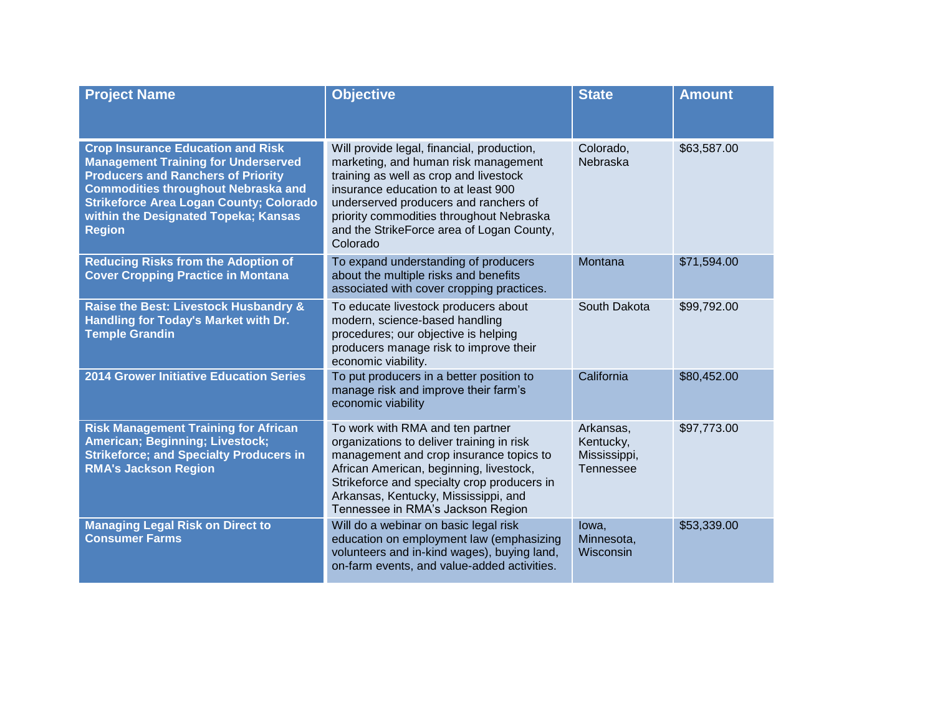| <b>Project Name</b>                                                                                                                                                                                                                                                                          | <b>Objective</b>                                                                                                                                                                                                                                                                                                  | <b>State</b>                                               | <b>Amount</b> |
|----------------------------------------------------------------------------------------------------------------------------------------------------------------------------------------------------------------------------------------------------------------------------------------------|-------------------------------------------------------------------------------------------------------------------------------------------------------------------------------------------------------------------------------------------------------------------------------------------------------------------|------------------------------------------------------------|---------------|
| <b>Crop Insurance Education and Risk</b><br><b>Management Training for Underserved</b><br><b>Producers and Ranchers of Priority</b><br><b>Commodities throughout Nebraska and</b><br><b>Strikeforce Area Logan County; Colorado</b><br>within the Designated Topeka; Kansas<br><b>Region</b> | Will provide legal, financial, production,<br>marketing, and human risk management<br>training as well as crop and livestock<br>insurance education to at least 900<br>underserved producers and ranchers of<br>priority commodities throughout Nebraska<br>and the StrikeForce area of Logan County,<br>Colorado | Colorado,<br>Nebraska                                      | \$63,587.00   |
| <b>Reducing Risks from the Adoption of</b><br><b>Cover Cropping Practice in Montana</b>                                                                                                                                                                                                      | To expand understanding of producers<br>about the multiple risks and benefits<br>associated with cover cropping practices.                                                                                                                                                                                        | Montana                                                    | \$71,594.00   |
| Raise the Best: Livestock Husbandry &<br>Handling for Today's Market with Dr.<br><b>Temple Grandin</b>                                                                                                                                                                                       | To educate livestock producers about<br>modern, science-based handling<br>procedures; our objective is helping<br>producers manage risk to improve their<br>economic viability.                                                                                                                                   | South Dakota                                               | \$99,792.00   |
| <b>2014 Grower Initiative Education Series</b>                                                                                                                                                                                                                                               | To put producers in a better position to<br>manage risk and improve their farm's<br>economic viability                                                                                                                                                                                                            | California                                                 | \$80,452.00   |
| <b>Risk Management Training for African</b><br><b>American; Beginning; Livestock;</b><br><b>Strikeforce; and Specialty Producers in</b><br><b>RMA's Jackson Region</b>                                                                                                                       | To work with RMA and ten partner<br>organizations to deliver training in risk<br>management and crop insurance topics to<br>African American, beginning, livestock,<br>Strikeforce and specialty crop producers in<br>Arkansas, Kentucky, Mississippi, and<br>Tennessee in RMA's Jackson Region                   | Arkansas,<br>Kentucky,<br>Mississippi,<br><b>Tennessee</b> | \$97,773.00   |
| <b>Managing Legal Risk on Direct to</b><br><b>Consumer Farms</b>                                                                                                                                                                                                                             | Will do a webinar on basic legal risk<br>education on employment law (emphasizing<br>volunteers and in-kind wages), buying land,<br>on-farm events, and value-added activities.                                                                                                                                   | lowa,<br>Minnesota,<br>Wisconsin                           | \$53,339.00   |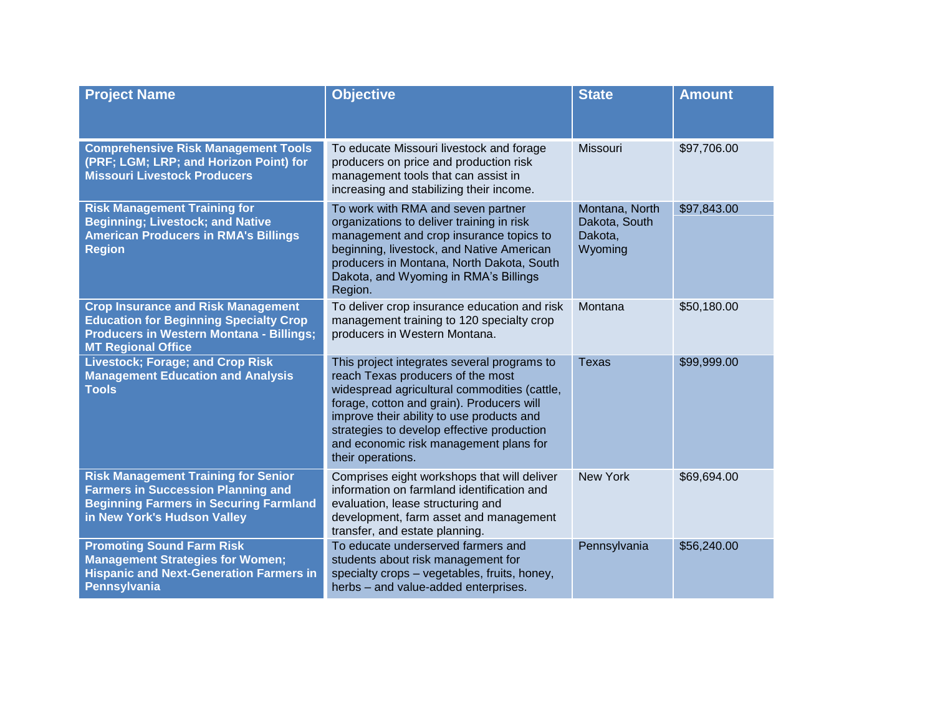| <b>Project Name</b>                                                                                                                                                        | <b>Objective</b>                                                                                                                                                                                                                                                                                                                        | <b>State</b>                                          | <b>Amount</b> |
|----------------------------------------------------------------------------------------------------------------------------------------------------------------------------|-----------------------------------------------------------------------------------------------------------------------------------------------------------------------------------------------------------------------------------------------------------------------------------------------------------------------------------------|-------------------------------------------------------|---------------|
| <b>Comprehensive Risk Management Tools</b><br>(PRF; LGM; LRP; and Horizon Point) for<br><b>Missouri Livestock Producers</b>                                                | To educate Missouri livestock and forage<br>producers on price and production risk<br>management tools that can assist in<br>increasing and stabilizing their income.                                                                                                                                                                   | Missouri                                              | \$97,706.00   |
| <b>Risk Management Training for</b><br><b>Beginning; Livestock; and Native</b><br><b>American Producers in RMA's Billings</b><br><b>Region</b>                             | To work with RMA and seven partner<br>organizations to deliver training in risk<br>management and crop insurance topics to<br>beginning, livestock, and Native American<br>producers in Montana, North Dakota, South<br>Dakota, and Wyoming in RMA's Billings<br>Region.                                                                | Montana, North<br>Dakota, South<br>Dakota,<br>Wyoming | \$97,843.00   |
| <b>Crop Insurance and Risk Management</b><br><b>Education for Beginning Specialty Crop</b><br><b>Producers in Western Montana - Billings;</b><br><b>MT Regional Office</b> | To deliver crop insurance education and risk<br>management training to 120 specialty crop<br>producers in Western Montana.                                                                                                                                                                                                              | Montana                                               | \$50,180.00   |
| <b>Livestock; Forage; and Crop Risk</b><br><b>Management Education and Analysis</b><br><b>Tools</b>                                                                        | This project integrates several programs to<br>reach Texas producers of the most<br>widespread agricultural commodities (cattle,<br>forage, cotton and grain). Producers will<br>improve their ability to use products and<br>strategies to develop effective production<br>and economic risk management plans for<br>their operations. | <b>Texas</b>                                          | \$99,999.00   |
| <b>Risk Management Training for Senior</b><br><b>Farmers in Succession Planning and</b><br><b>Beginning Farmers in Securing Farmland</b><br>in New York's Hudson Valley    | Comprises eight workshops that will deliver<br>information on farmland identification and<br>evaluation, lease structuring and<br>development, farm asset and management<br>transfer, and estate planning.                                                                                                                              | <b>New York</b>                                       | \$69,694.00   |
| <b>Promoting Sound Farm Risk</b><br><b>Management Strategies for Women;</b><br><b>Hispanic and Next-Generation Farmers in</b><br><b>Pennsylvania</b>                       | To educate underserved farmers and<br>students about risk management for<br>specialty crops - vegetables, fruits, honey,<br>herbs - and value-added enterprises.                                                                                                                                                                        | Pennsylvania                                          | \$56,240.00   |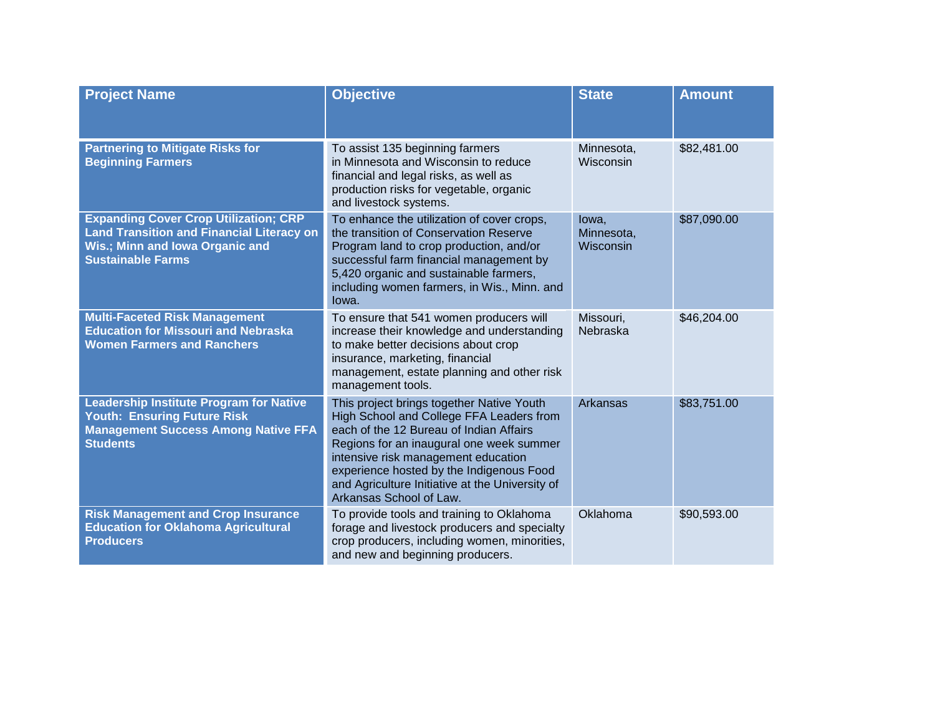| <b>Project Name</b>                                                                                                                                             | <b>Objective</b>                                                                                                                                                                                                                                                                                                                              | <b>State</b>                     | <b>Amount</b> |
|-----------------------------------------------------------------------------------------------------------------------------------------------------------------|-----------------------------------------------------------------------------------------------------------------------------------------------------------------------------------------------------------------------------------------------------------------------------------------------------------------------------------------------|----------------------------------|---------------|
| <b>Partnering to Mitigate Risks for</b><br><b>Beginning Farmers</b>                                                                                             | To assist 135 beginning farmers<br>in Minnesota and Wisconsin to reduce<br>financial and legal risks, as well as<br>production risks for vegetable, organic<br>and livestock systems.                                                                                                                                                         | Minnesota,<br>Wisconsin          | \$82,481.00   |
| <b>Expanding Cover Crop Utilization; CRP</b><br><b>Land Transition and Financial Literacy on</b><br>Wis.; Minn and Iowa Organic and<br><b>Sustainable Farms</b> | To enhance the utilization of cover crops,<br>the transition of Conservation Reserve<br>Program land to crop production, and/or<br>successful farm financial management by<br>5,420 organic and sustainable farmers,<br>including women farmers, in Wis., Minn. and<br>lowa.                                                                  | lowa,<br>Minnesota,<br>Wisconsin | \$87,090.00   |
| <b>Multi-Faceted Risk Management</b><br><b>Education for Missouri and Nebraska</b><br><b>Women Farmers and Ranchers</b>                                         | To ensure that 541 women producers will<br>increase their knowledge and understanding<br>to make better decisions about crop<br>insurance, marketing, financial<br>management, estate planning and other risk<br>management tools.                                                                                                            | Missouri,<br>Nebraska            | \$46,204.00   |
| <b>Leadership Institute Program for Native</b><br><b>Youth: Ensuring Future Risk</b><br><b>Management Success Among Native FFA</b><br><b>Students</b>           | This project brings together Native Youth<br>High School and College FFA Leaders from<br>each of the 12 Bureau of Indian Affairs<br>Regions for an inaugural one week summer<br>intensive risk management education<br>experience hosted by the Indigenous Food<br>and Agriculture Initiative at the University of<br>Arkansas School of Law. | Arkansas                         | \$83,751.00   |
| <b>Risk Management and Crop Insurance</b><br><b>Education for Oklahoma Agricultural</b><br><b>Producers</b>                                                     | To provide tools and training to Oklahoma<br>forage and livestock producers and specialty<br>crop producers, including women, minorities,<br>and new and beginning producers.                                                                                                                                                                 | Oklahoma                         | \$90,593.00   |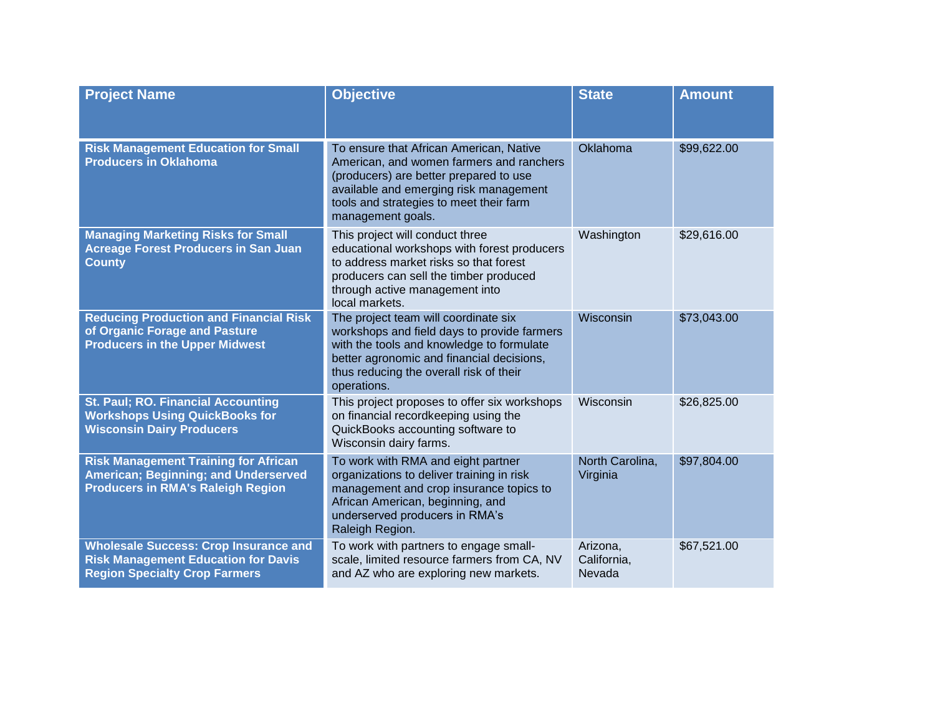| <b>Project Name</b>                                                                                                                | <b>Objective</b>                                                                                                                                                                                                                        | <b>State</b>                      | <b>Amount</b> |
|------------------------------------------------------------------------------------------------------------------------------------|-----------------------------------------------------------------------------------------------------------------------------------------------------------------------------------------------------------------------------------------|-----------------------------------|---------------|
| <b>Risk Management Education for Small</b><br><b>Producers in Oklahoma</b>                                                         | To ensure that African American, Native<br>American, and women farmers and ranchers<br>(producers) are better prepared to use<br>available and emerging risk management<br>tools and strategies to meet their farm<br>management goals. | Oklahoma                          | \$99,622.00   |
| <b>Managing Marketing Risks for Small</b><br><b>Acreage Forest Producers in San Juan</b><br><b>County</b>                          | This project will conduct three<br>educational workshops with forest producers<br>to address market risks so that forest<br>producers can sell the timber produced<br>through active management into<br>local markets.                  | Washington                        | \$29,616.00   |
| <b>Reducing Production and Financial Risk</b><br>of Organic Forage and Pasture<br><b>Producers in the Upper Midwest</b>            | The project team will coordinate six<br>workshops and field days to provide farmers<br>with the tools and knowledge to formulate<br>better agronomic and financial decisions,<br>thus reducing the overall risk of their<br>operations. | Wisconsin                         | \$73,043.00   |
| St. Paul; RO. Financial Accounting<br><b>Workshops Using QuickBooks for</b><br><b>Wisconsin Dairy Producers</b>                    | This project proposes to offer six workshops<br>on financial recordkeeping using the<br>QuickBooks accounting software to<br>Wisconsin dairy farms.                                                                                     | Wisconsin                         | \$26,825.00   |
| <b>Risk Management Training for African</b><br>American; Beginning; and Underserved<br><b>Producers in RMA's Raleigh Region</b>    | To work with RMA and eight partner<br>organizations to deliver training in risk<br>management and crop insurance topics to<br>African American, beginning, and<br>underserved producers in RMA's<br>Raleigh Region.                     | North Carolina,<br>Virginia       | \$97,804.00   |
| <b>Wholesale Success: Crop Insurance and</b><br><b>Risk Management Education for Davis</b><br><b>Region Specialty Crop Farmers</b> | To work with partners to engage small-<br>scale, limited resource farmers from CA, NV<br>and AZ who are exploring new markets.                                                                                                          | Arizona,<br>California,<br>Nevada | \$67,521.00   |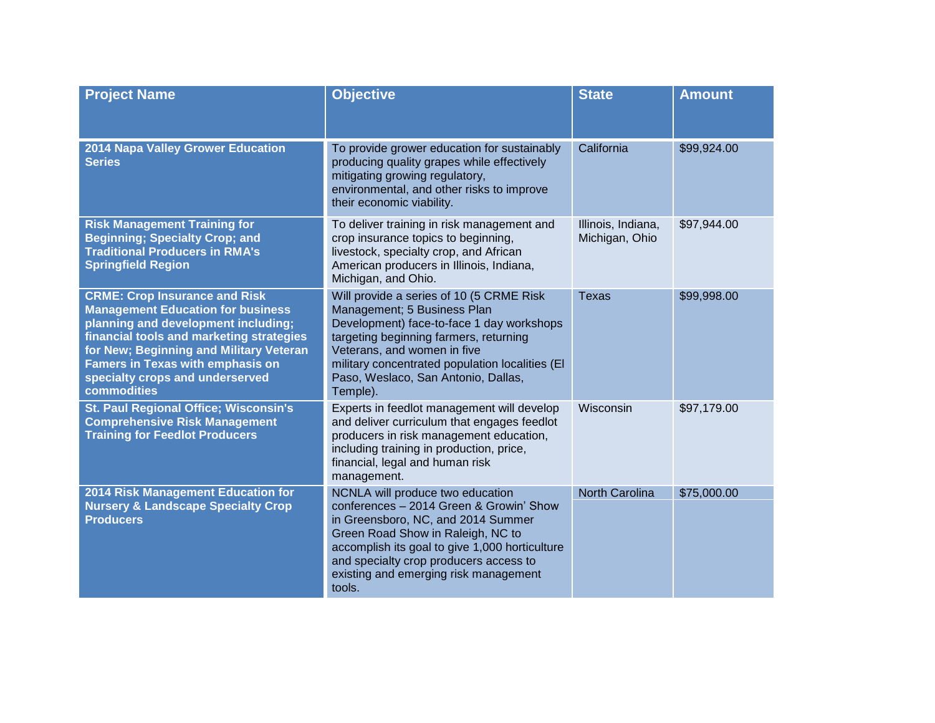| <b>Project Name</b>                                                                                                                                                                                                                                                                                         | <b>Objective</b>                                                                                                                                                                                                                                                                                      | <b>State</b>                         | <b>Amount</b> |
|-------------------------------------------------------------------------------------------------------------------------------------------------------------------------------------------------------------------------------------------------------------------------------------------------------------|-------------------------------------------------------------------------------------------------------------------------------------------------------------------------------------------------------------------------------------------------------------------------------------------------------|--------------------------------------|---------------|
| 2014 Napa Valley Grower Education<br><b>Series</b>                                                                                                                                                                                                                                                          | To provide grower education for sustainably<br>producing quality grapes while effectively<br>mitigating growing regulatory,<br>environmental, and other risks to improve<br>their economic viability.                                                                                                 | California                           | \$99,924.00   |
| <b>Risk Management Training for</b><br><b>Beginning; Specialty Crop; and</b><br><b>Traditional Producers in RMA's</b><br><b>Springfield Region</b>                                                                                                                                                          | To deliver training in risk management and<br>crop insurance topics to beginning,<br>livestock, specialty crop, and African<br>American producers in Illinois, Indiana,<br>Michigan, and Ohio.                                                                                                        | Illinois, Indiana,<br>Michigan, Ohio | \$97,944.00   |
| <b>CRME: Crop Insurance and Risk</b><br><b>Management Education for business</b><br>planning and development including;<br>financial tools and marketing strategies<br>for New; Beginning and Military Veteran<br><b>Famers in Texas with emphasis on</b><br>specialty crops and underserved<br>commodities | Will provide a series of 10 (5 CRME Risk<br>Management; 5 Business Plan<br>Development) face-to-face 1 day workshops<br>targeting beginning farmers, returning<br>Veterans, and women in five<br>military concentrated population localities (EI<br>Paso, Weslaco, San Antonio, Dallas,<br>Temple).   | <b>Texas</b>                         | \$99,998.00   |
| <b>St. Paul Regional Office; Wisconsin's</b><br><b>Comprehensive Risk Management</b><br><b>Training for Feedlot Producers</b>                                                                                                                                                                               | Experts in feedlot management will develop<br>and deliver curriculum that engages feedlot<br>producers in risk management education,<br>including training in production, price,<br>financial, legal and human risk<br>management.                                                                    | Wisconsin                            | \$97,179.00   |
| 2014 Risk Management Education for<br><b>Nursery &amp; Landscape Specialty Crop</b><br><b>Producers</b>                                                                                                                                                                                                     | NCNLA will produce two education<br>conferences - 2014 Green & Growin' Show<br>in Greensboro, NC, and 2014 Summer<br>Green Road Show in Raleigh, NC to<br>accomplish its goal to give 1,000 horticulture<br>and specialty crop producers access to<br>existing and emerging risk management<br>tools. | <b>North Carolina</b>                | \$75,000.00   |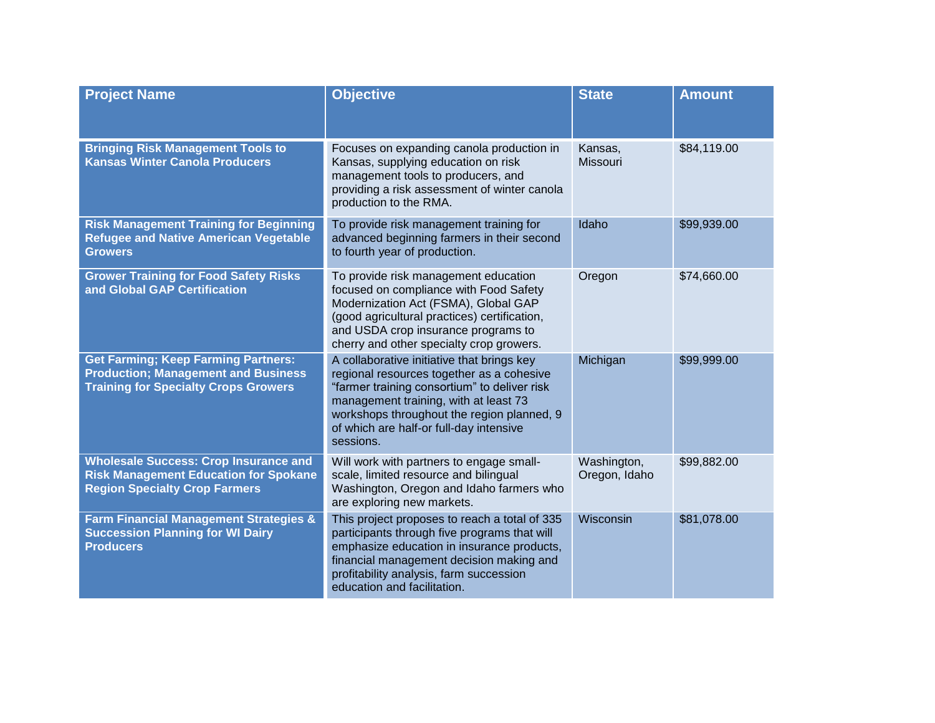| <b>Project Name</b>                                                                                                                     | <b>Objective</b>                                                                                                                                                                                                                                                                       | <b>State</b>                 | <b>Amount</b> |
|-----------------------------------------------------------------------------------------------------------------------------------------|----------------------------------------------------------------------------------------------------------------------------------------------------------------------------------------------------------------------------------------------------------------------------------------|------------------------------|---------------|
| <b>Bringing Risk Management Tools to</b><br><b>Kansas Winter Canola Producers</b>                                                       | Focuses on expanding canola production in<br>Kansas, supplying education on risk<br>management tools to producers, and<br>providing a risk assessment of winter canola<br>production to the RMA.                                                                                       | Kansas,<br><b>Missouri</b>   | \$84,119.00   |
| <b>Risk Management Training for Beginning</b><br><b>Refugee and Native American Vegetable</b><br><b>Growers</b>                         | To provide risk management training for<br>advanced beginning farmers in their second<br>to fourth year of production.                                                                                                                                                                 | Idaho                        | \$99,939.00   |
| <b>Grower Training for Food Safety Risks</b><br>and Global GAP Certification                                                            | To provide risk management education<br>focused on compliance with Food Safety<br>Modernization Act (FSMA), Global GAP<br>(good agricultural practices) certification,<br>and USDA crop insurance programs to<br>cherry and other specialty crop growers.                              | Oregon                       | \$74,660.00   |
| <b>Get Farming; Keep Farming Partners:</b><br><b>Production; Management and Business</b><br><b>Training for Specialty Crops Growers</b> | A collaborative initiative that brings key<br>regional resources together as a cohesive<br>"farmer training consortium" to deliver risk<br>management training, with at least 73<br>workshops throughout the region planned, 9<br>of which are half-or full-day intensive<br>sessions. | Michigan                     | \$99,999.00   |
| <b>Wholesale Success: Crop Insurance and</b><br><b>Risk Management Education for Spokane</b><br><b>Region Specialty Crop Farmers</b>    | Will work with partners to engage small-<br>scale, limited resource and bilingual<br>Washington, Oregon and Idaho farmers who<br>are exploring new markets.                                                                                                                            | Washington,<br>Oregon, Idaho | \$99,882.00   |
| <b>Farm Financial Management Strategies &amp;</b><br><b>Succession Planning for WI Dairy</b><br><b>Producers</b>                        | This project proposes to reach a total of 335<br>participants through five programs that will<br>emphasize education in insurance products,<br>financial management decision making and<br>profitability analysis, farm succession<br>education and facilitation.                      | Wisconsin                    | \$81,078.00   |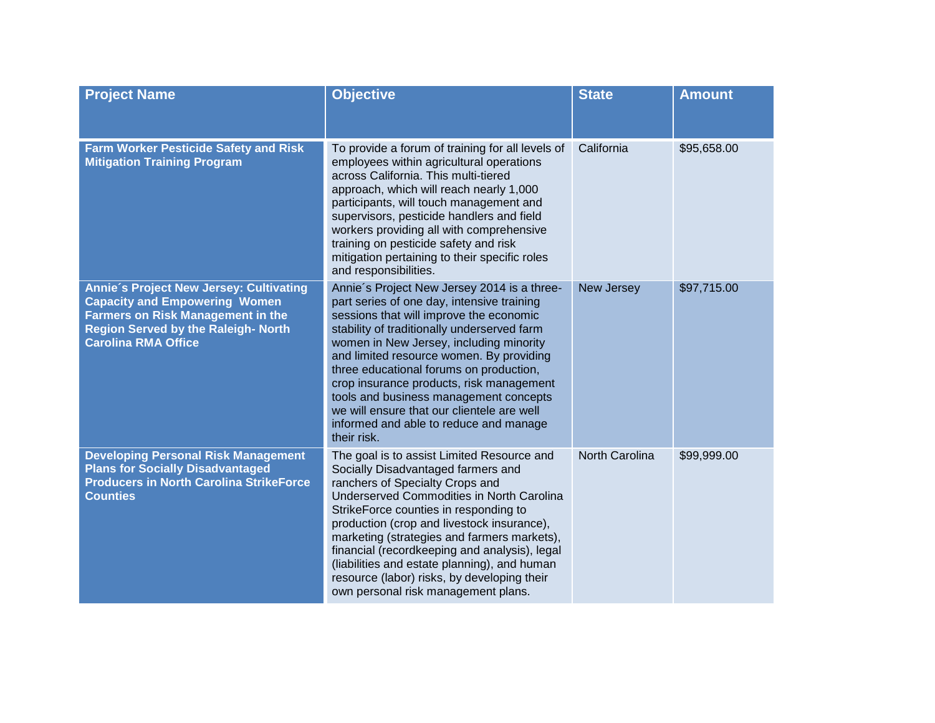| <b>Project Name</b>                                                                                                                                                                                     | <b>Objective</b>                                                                                                                                                                                                                                                                                                                                                                                                                                                                                                   | <b>State</b>   | <b>Amount</b> |
|---------------------------------------------------------------------------------------------------------------------------------------------------------------------------------------------------------|--------------------------------------------------------------------------------------------------------------------------------------------------------------------------------------------------------------------------------------------------------------------------------------------------------------------------------------------------------------------------------------------------------------------------------------------------------------------------------------------------------------------|----------------|---------------|
| <b>Farm Worker Pesticide Safety and Risk</b><br><b>Mitigation Training Program</b>                                                                                                                      | To provide a forum of training for all levels of<br>employees within agricultural operations<br>across California. This multi-tiered<br>approach, which will reach nearly 1,000<br>participants, will touch management and<br>supervisors, pesticide handlers and field<br>workers providing all with comprehensive<br>training on pesticide safety and risk<br>mitigation pertaining to their specific roles<br>and responsibilities.                                                                             | California     | \$95,658.00   |
| Annie's Project New Jersey: Cultivating<br><b>Capacity and Empowering Women</b><br><b>Farmers on Risk Management in the</b><br><b>Region Served by the Raleigh- North</b><br><b>Carolina RMA Office</b> | Annie's Project New Jersey 2014 is a three-<br>part series of one day, intensive training<br>sessions that will improve the economic<br>stability of traditionally underserved farm<br>women in New Jersey, including minority<br>and limited resource women. By providing<br>three educational forums on production,<br>crop insurance products, risk management<br>tools and business management concepts<br>we will ensure that our clientele are well<br>informed and able to reduce and manage<br>their risk. | New Jersey     | \$97,715.00   |
| <b>Developing Personal Risk Management</b><br><b>Plans for Socially Disadvantaged</b><br><b>Producers in North Carolina StrikeForce</b><br><b>Counties</b>                                              | The goal is to assist Limited Resource and<br>Socially Disadvantaged farmers and<br>ranchers of Specialty Crops and<br>Underserved Commodities in North Carolina<br>StrikeForce counties in responding to<br>production (crop and livestock insurance),<br>marketing (strategies and farmers markets),<br>financial (recordkeeping and analysis), legal<br>(liabilities and estate planning), and human<br>resource (labor) risks, by developing their<br>own personal risk management plans.                      | North Carolina | \$99,999.00   |